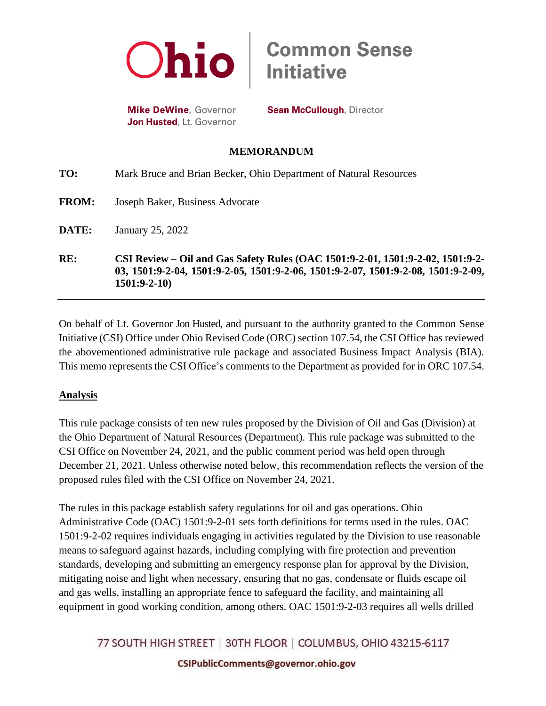

**Mike DeWine**, Governor Jon Husted, Lt. Governor

**Sean McCullough, Director** 

**Common Sense<br>Initiative** 

## **MEMORANDUM**

| RE:          | CSI Review – Oil and Gas Safety Rules (OAC 1501:9-2-01, 1501:9-2-02, 1501:9-2-<br>03, 1501:9-2-04, 1501:9-2-05, 1501:9-2-06, 1501:9-2-07, 1501:9-2-08, 1501:9-2-09,<br>$1501:9-2-10$ |
|--------------|--------------------------------------------------------------------------------------------------------------------------------------------------------------------------------------|
| DATE:        | January 25, 2022                                                                                                                                                                     |
| <b>FROM:</b> | Joseph Baker, Business Advocate                                                                                                                                                      |
| TO:          | Mark Bruce and Brian Becker, Ohio Department of Natural Resources                                                                                                                    |

On behalf of Lt. Governor Jon Husted, and pursuant to the authority granted to the Common Sense Initiative (CSI) Office under Ohio Revised Code (ORC) section 107.54, the CSI Office has reviewed the abovementioned administrative rule package and associated Business Impact Analysis (BIA). This memo represents the CSI Office's comments to the Department as provided for in ORC 107.54.

## **Analysis**

This rule package consists of ten new rules proposed by the Division of Oil and Gas (Division) at the Ohio Department of Natural Resources (Department). This rule package was submitted to the CSI Office on November 24, 2021, and the public comment period was held open through December 21, 2021. Unless otherwise noted below, this recommendation reflects the version of the proposed rules filed with the CSI Office on November 24, 2021.

The rules in this package establish safety regulations for oil and gas operations. Ohio Administrative Code (OAC) 1501:9-2-01 sets forth definitions for terms used in the rules. OAC 1501:9-2-02 requires individuals engaging in activities regulated by the Division to use reasonable means to safeguard against hazards, including complying with fire protection and prevention standards, developing and submitting an emergency response plan for approval by the Division, mitigating noise and light when necessary, ensuring that no gas, condensate or fluids escape oil and gas wells, installing an appropriate fence to safeguard the facility, and maintaining all equipment in good working condition, among others. OAC 1501:9-2-03 requires all wells drilled

77 SOUTH HIGH STREET | 30TH FLOOR | COLUMBUS, OHIO 43215-6117

CSIPublicComments@governor.ohio.gov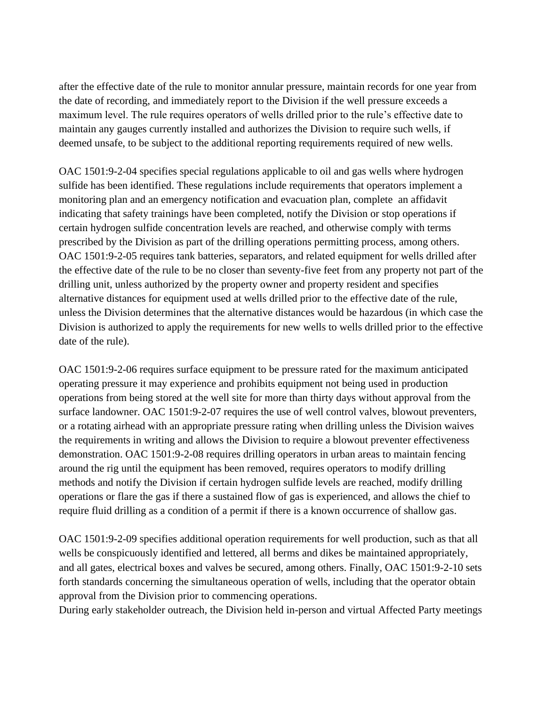after the effective date of the rule to monitor annular pressure, maintain records for one year from the date of recording, and immediately report to the Division if the well pressure exceeds a maximum level. The rule requires operators of wells drilled prior to the rule's effective date to maintain any gauges currently installed and authorizes the Division to require such wells, if deemed unsafe, to be subject to the additional reporting requirements required of new wells.

OAC 1501:9-2-04 specifies special regulations applicable to oil and gas wells where hydrogen sulfide has been identified. These regulations include requirements that operators implement a monitoring plan and an emergency notification and evacuation plan, complete an affidavit indicating that safety trainings have been completed, notify the Division or stop operations if certain hydrogen sulfide concentration levels are reached, and otherwise comply with terms prescribed by the Division as part of the drilling operations permitting process, among others. OAC 1501:9-2-05 requires tank batteries, separators, and related equipment for wells drilled after the effective date of the rule to be no closer than seventy-five feet from any property not part of the drilling unit, unless authorized by the property owner and property resident and specifies alternative distances for equipment used at wells drilled prior to the effective date of the rule, unless the Division determines that the alternative distances would be hazardous (in which case the Division is authorized to apply the requirements for new wells to wells drilled prior to the effective date of the rule).

OAC 1501:9-2-06 requires surface equipment to be pressure rated for the maximum anticipated operating pressure it may experience and prohibits equipment not being used in production operations from being stored at the well site for more than thirty days without approval from the surface landowner. OAC 1501:9-2-07 requires the use of well control valves, blowout preventers, or a rotating airhead with an appropriate pressure rating when drilling unless the Division waives the requirements in writing and allows the Division to require a blowout preventer effectiveness demonstration. OAC 1501:9-2-08 requires drilling operators in urban areas to maintain fencing around the rig until the equipment has been removed, requires operators to modify drilling methods and notify the Division if certain hydrogen sulfide levels are reached, modify drilling operations or flare the gas if there a sustained flow of gas is experienced, and allows the chief to require fluid drilling as a condition of a permit if there is a known occurrence of shallow gas.

OAC 1501:9-2-09 specifies additional operation requirements for well production, such as that all wells be conspicuously identified and lettered, all berms and dikes be maintained appropriately, and all gates, electrical boxes and valves be secured, among others. Finally, OAC 1501:9-2-10 sets forth standards concerning the simultaneous operation of wells, including that the operator obtain approval from the Division prior to commencing operations.

During early stakeholder outreach, the Division held in-person and virtual Affected Party meetings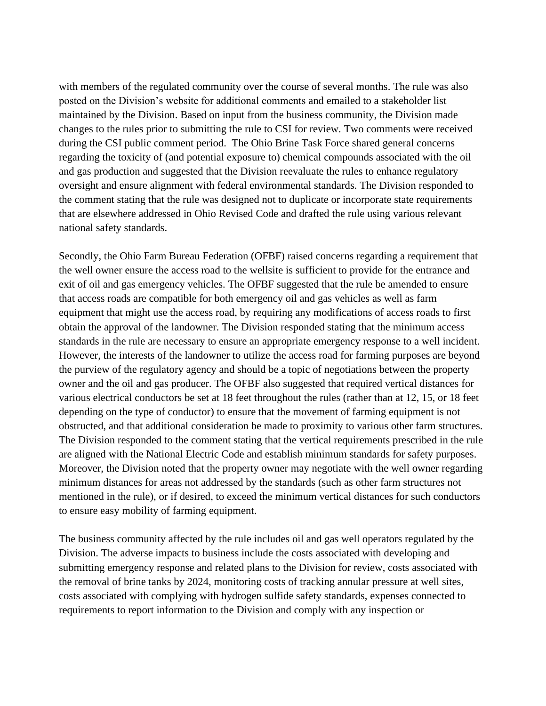with members of the regulated community over the course of several months. The rule was also posted on the Division's website for additional comments and emailed to a stakeholder list maintained by the Division. Based on input from the business community, the Division made changes to the rules prior to submitting the rule to CSI for review. Two comments were received during the CSI public comment period. The Ohio Brine Task Force shared general concerns regarding the toxicity of (and potential exposure to) chemical compounds associated with the oil and gas production and suggested that the Division reevaluate the rules to enhance regulatory oversight and ensure alignment with federal environmental standards. The Division responded to the comment stating that the rule was designed not to duplicate or incorporate state requirements that are elsewhere addressed in Ohio Revised Code and drafted the rule using various relevant national safety standards.

Secondly, the Ohio Farm Bureau Federation (OFBF) raised concerns regarding a requirement that the well owner ensure the access road to the wellsite is sufficient to provide for the entrance and exit of oil and gas emergency vehicles. The OFBF suggested that the rule be amended to ensure that access roads are compatible for both emergency oil and gas vehicles as well as farm equipment that might use the access road, by requiring any modifications of access roads to first obtain the approval of the landowner. The Division responded stating that the minimum access standards in the rule are necessary to ensure an appropriate emergency response to a well incident. However, the interests of the landowner to utilize the access road for farming purposes are beyond the purview of the regulatory agency and should be a topic of negotiations between the property owner and the oil and gas producer. The OFBF also suggested that required vertical distances for various electrical conductors be set at 18 feet throughout the rules (rather than at 12, 15, or 18 feet depending on the type of conductor) to ensure that the movement of farming equipment is not obstructed, and that additional consideration be made to proximity to various other farm structures. The Division responded to the comment stating that the vertical requirements prescribed in the rule are aligned with the National Electric Code and establish minimum standards for safety purposes. Moreover, the Division noted that the property owner may negotiate with the well owner regarding minimum distances for areas not addressed by the standards (such as other farm structures not mentioned in the rule), or if desired, to exceed the minimum vertical distances for such conductors to ensure easy mobility of farming equipment.

The business community affected by the rule includes oil and gas well operators regulated by the Division. The adverse impacts to business include the costs associated with developing and submitting emergency response and related plans to the Division for review, costs associated with the removal of brine tanks by 2024, monitoring costs of tracking annular pressure at well sites, costs associated with complying with hydrogen sulfide safety standards, expenses connected to requirements to report information to the Division and comply with any inspection or